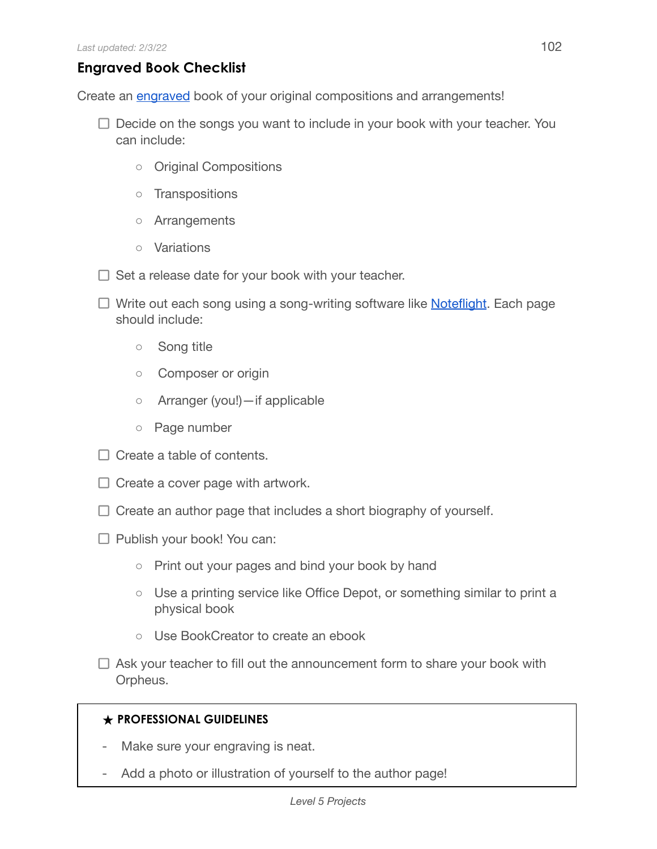## **Engraved Book Checklist**

Create an [engraved](https://en.wikipedia.org/wiki/Music_engraving) book of your original compositions and arrangements!

- $\Box$  Decide on the songs you want to include in your book with your teacher. You can include:
	- Original Compositions
	- Transpositions
	- Arrangements
	- Variations
- $\Box$  Set a release date for your book with your teacher.
- $\Box$  Write out each song using a song-writing software like **Noteflight**. Each page should include:
	- Song title
	- Composer or origin
	- Arranger (you!)—if applicable
	- Page number
- $\Box$  Create a table of contents.
- $\Box$  Create a cover page with artwork.
- $\Box$  Create an author page that includes a short biography of yourself.
- $\Box$  Publish your book! You can:
	- Print out your pages and bind your book by hand
	- Use a printing service like Office Depot, or something similar to print a physical book
	- Use BookCreator to create an ebook
- $\Box$  Ask your teacher to fill out the announcement form to share your book with Orpheus.

## **★ PROFESSIONAL GUIDELINES**

- Make sure your engraving is neat.
- Add a photo or illustration of yourself to the author page!